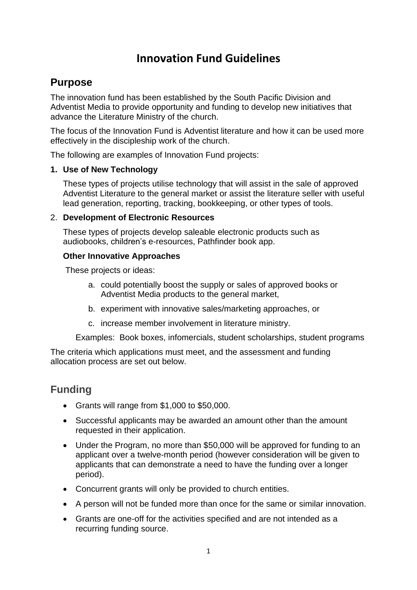# **Innovation Fund Guidelines**

### **Purpose**

The innovation fund has been established by the South Pacific Division and Adventist Media to provide opportunity and funding to develop new initiatives that advance the Literature Ministry of the church.

The focus of the Innovation Fund is Adventist literature and how it can be used more effectively in the discipleship work of the church.

The following are examples of Innovation Fund projects:

#### **1. Use of New Technology**

These types of projects utilise technology that will assist in the sale of approved Adventist Literature to the general market or assist the literature seller with useful lead generation, reporting, tracking, bookkeeping, or other types of tools.

#### 2. **Development of Electronic Resources**

These types of projects develop saleable electronic products such as audiobooks, children's e-resources, Pathfinder book app.

#### **Other Innovative Approaches**

These projects or ideas:

- a. could potentially boost the supply or sales of approved books or Adventist Media products to the general market,
- b. experiment with innovative sales/marketing approaches, or
- c. increase member involvement in literature ministry.

Examples: Book boxes, infomercials, student scholarships, student programs

The criteria which applications must meet, and the assessment and funding allocation process are set out below.

### **Funding**

- Grants will range from \$1,000 to \$50,000.
- Successful applicants may be awarded an amount other than the amount requested in their application.
- Under the Program, no more than \$50,000 will be approved for funding to an applicant over a twelve-month period (however consideration will be given to applicants that can demonstrate a need to have the funding over a longer period).
- Concurrent grants will only be provided to church entities.
- A person will not be funded more than once for the same or similar innovation.
- Grants are one-off for the activities specified and are not intended as a recurring funding source.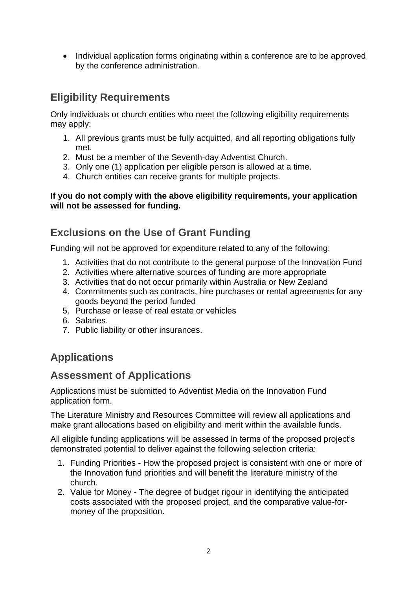• Individual application forms originating within a conference are to be approved by the conference administration.

## **Eligibility Requirements**

Only individuals or church entities who meet the following eligibility requirements may apply:

- 1. All previous grants must be fully acquitted, and all reporting obligations fully met.
- 2. Must be a member of the Seventh-day Adventist Church.
- 3. Only one (1) application per eligible person is allowed at a time.
- 4. Church entities can receive grants for multiple projects.

#### **If you do not comply with the above eligibility requirements, your application will not be assessed for funding.**

### **Exclusions on the Use of Grant Funding**

Funding will not be approved for expenditure related to any of the following:

- 1. Activities that do not contribute to the general purpose of the Innovation Fund
- 2. Activities where alternative sources of funding are more appropriate
- 3. Activities that do not occur primarily within Australia or New Zealand
- 4. Commitments such as contracts, hire purchases or rental agreements for any goods beyond the period funded
- 5. Purchase or lease of real estate or vehicles
- 6. Salaries.
- 7. Public liability or other insurances.

### **Applications**

### **Assessment of Applications**

Applications must be submitted to Adventist Media on the Innovation Fund application form.

The Literature Ministry and Resources Committee will review all applications and make grant allocations based on eligibility and merit within the available funds.

All eligible funding applications will be assessed in terms of the proposed project's demonstrated potential to deliver against the following selection criteria:

- 1. Funding Priorities How the proposed project is consistent with one or more of the Innovation fund priorities and will benefit the literature ministry of the church.
- 2. Value for Money The degree of budget rigour in identifying the anticipated costs associated with the proposed project, and the comparative value-formoney of the proposition.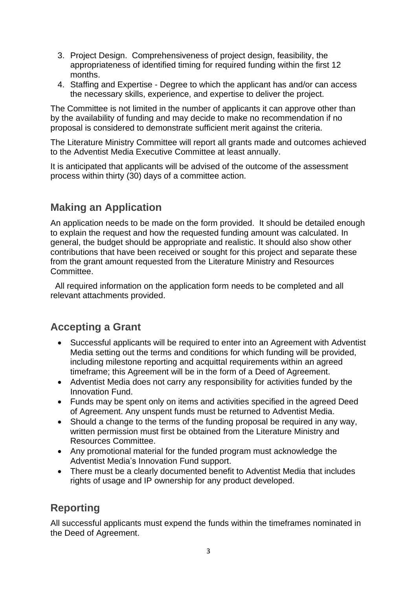- 3. Project Design. Comprehensiveness of project design, feasibility, the appropriateness of identified timing for required funding within the first 12 months.
- 4. Staffing and Expertise Degree to which the applicant has and/or can access the necessary skills, experience, and expertise to deliver the project.

The Committee is not limited in the number of applicants it can approve other than by the availability of funding and may decide to make no recommendation if no proposal is considered to demonstrate sufficient merit against the criteria.

The Literature Ministry Committee will report all grants made and outcomes achieved to the Adventist Media Executive Committee at least annually.

It is anticipated that applicants will be advised of the outcome of the assessment process within thirty (30) days of a committee action.

### **Making an Application**

An application needs to be made on the form provided. It should be detailed enough to explain the request and how the requested funding amount was calculated. In general, the budget should be appropriate and realistic. It should also show other contributions that have been received or sought for this project and separate these from the grant amount requested from the Literature Ministry and Resources Committee.

All required information on the application form needs to be completed and all relevant attachments provided.

### **Accepting a Grant**

- Successful applicants will be required to enter into an Agreement with Adventist Media setting out the terms and conditions for which funding will be provided, including milestone reporting and acquittal requirements within an agreed timeframe; this Agreement will be in the form of a Deed of Agreement.
- Adventist Media does not carry any responsibility for activities funded by the Innovation Fund.
- Funds may be spent only on items and activities specified in the agreed Deed of Agreement. Any unspent funds must be returned to Adventist Media.
- Should a change to the terms of the funding proposal be required in any way, written permission must first be obtained from the Literature Ministry and Resources Committee.
- Any promotional material for the funded program must acknowledge the Adventist Media's Innovation Fund support.
- There must be a clearly documented benefit to Adventist Media that includes rights of usage and IP ownership for any product developed.

### **Reporting**

All successful applicants must expend the funds within the timeframes nominated in the Deed of Agreement.